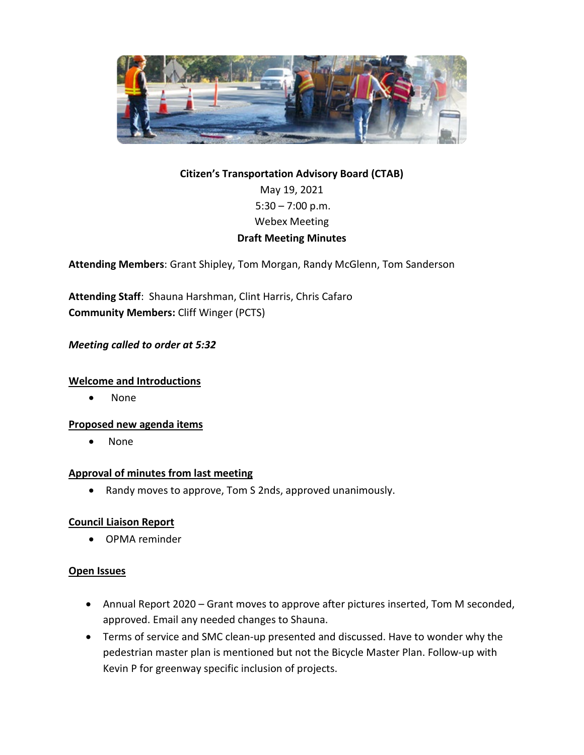

# **Citizen's Transportation Advisory Board (CTAB)** May 19, 2021  $5:30 - 7:00$  p.m. Webex Meeting **Draft Meeting Minutes**

**Attending Members**: Grant Shipley, Tom Morgan, Randy McGlenn, Tom Sanderson

**Attending Staff**: Shauna Harshman, Clint Harris, Chris Cafaro **Community Members:** Cliff Winger (PCTS)

## *Meeting called to order at 5:32*

## **Welcome and Introductions**

• None

### **Proposed new agenda items**

• None

### **Approval of minutes from last meeting**

• Randy moves to approve, Tom S 2nds, approved unanimously.

## **Council Liaison Report**

• OPMA reminder

### **Open Issues**

- Annual Report 2020 Grant moves to approve after pictures inserted, Tom M seconded, approved. Email any needed changes to Shauna.
- Terms of service and SMC clean-up presented and discussed. Have to wonder why the pedestrian master plan is mentioned but not the Bicycle Master Plan. Follow-up with Kevin P for greenway specific inclusion of projects.